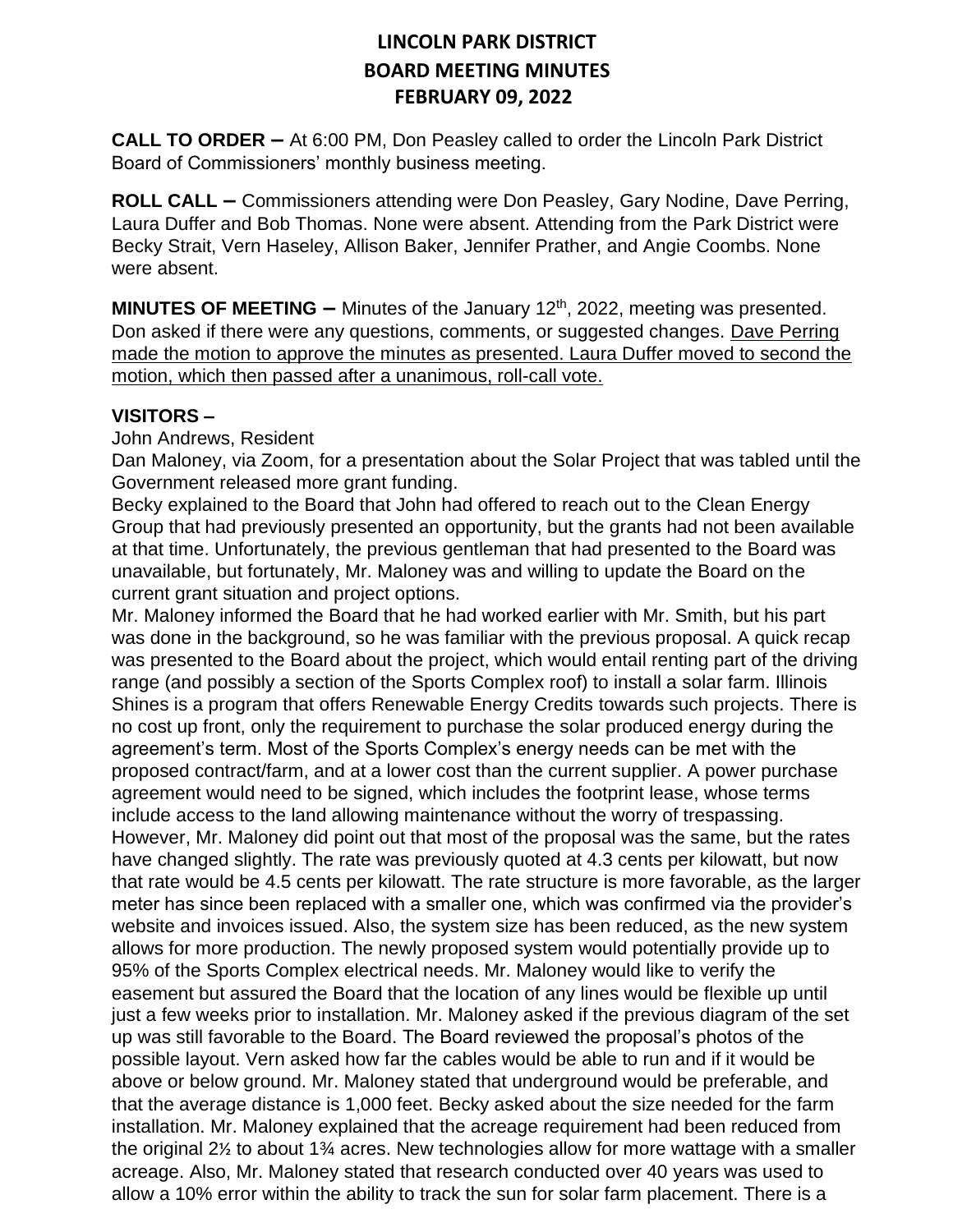**CALL TO ORDER –** At 6:00 PM, Don Peasley called to order the Lincoln Park District Board of Commissioners' monthly business meeting.

**ROLL CALL –** Commissioners attending were Don Peasley, Gary Nodine, Dave Perring, Laura Duffer and Bob Thomas. None were absent. Attending from the Park District were Becky Strait, Vern Haseley, Allison Baker, Jennifer Prather, and Angie Coombs. None were absent.

**MINUTES OF MEETING –** Minutes of the January 12<sup>th</sup>, 2022, meeting was presented. Don asked if there were any questions, comments, or suggested changes. Dave Perring made the motion to approve the minutes as presented. Laura Duffer moved to second the motion, which then passed after a unanimous, roll-call vote.

#### **VISITORS –**

John Andrews, Resident

Dan Maloney, via Zoom, for a presentation about the Solar Project that was tabled until the Government released more grant funding.

Becky explained to the Board that John had offered to reach out to the Clean Energy Group that had previously presented an opportunity, but the grants had not been available at that time. Unfortunately, the previous gentleman that had presented to the Board was unavailable, but fortunately, Mr. Maloney was and willing to update the Board on the current grant situation and project options.

Mr. Maloney informed the Board that he had worked earlier with Mr. Smith, but his part was done in the background, so he was familiar with the previous proposal. A quick recap was presented to the Board about the project, which would entail renting part of the driving range (and possibly a section of the Sports Complex roof) to install a solar farm. Illinois Shines is a program that offers Renewable Energy Credits towards such projects. There is no cost up front, only the requirement to purchase the solar produced energy during the agreement's term. Most of the Sports Complex's energy needs can be met with the proposed contract/farm, and at a lower cost than the current supplier. A power purchase agreement would need to be signed, which includes the footprint lease, whose terms include access to the land allowing maintenance without the worry of trespassing. However, Mr. Maloney did point out that most of the proposal was the same, but the rates have changed slightly. The rate was previously quoted at 4.3 cents per kilowatt, but now that rate would be 4.5 cents per kilowatt. The rate structure is more favorable, as the larger meter has since been replaced with a smaller one, which was confirmed via the provider's website and invoices issued. Also, the system size has been reduced, as the new system allows for more production. The newly proposed system would potentially provide up to 95% of the Sports Complex electrical needs. Mr. Maloney would like to verify the easement but assured the Board that the location of any lines would be flexible up until just a few weeks prior to installation. Mr. Maloney asked if the previous diagram of the set up was still favorable to the Board. The Board reviewed the proposal's photos of the possible layout. Vern asked how far the cables would be able to run and if it would be above or below ground. Mr. Maloney stated that underground would be preferable, and that the average distance is 1,000 feet. Becky asked about the size needed for the farm installation. Mr. Maloney explained that the acreage requirement had been reduced from the original 2½ to about 1¾ acres. New technologies allow for more wattage with a smaller acreage. Also, Mr. Maloney stated that research conducted over 40 years was used to allow a 10% error within the ability to track the sun for solar farm placement. There is a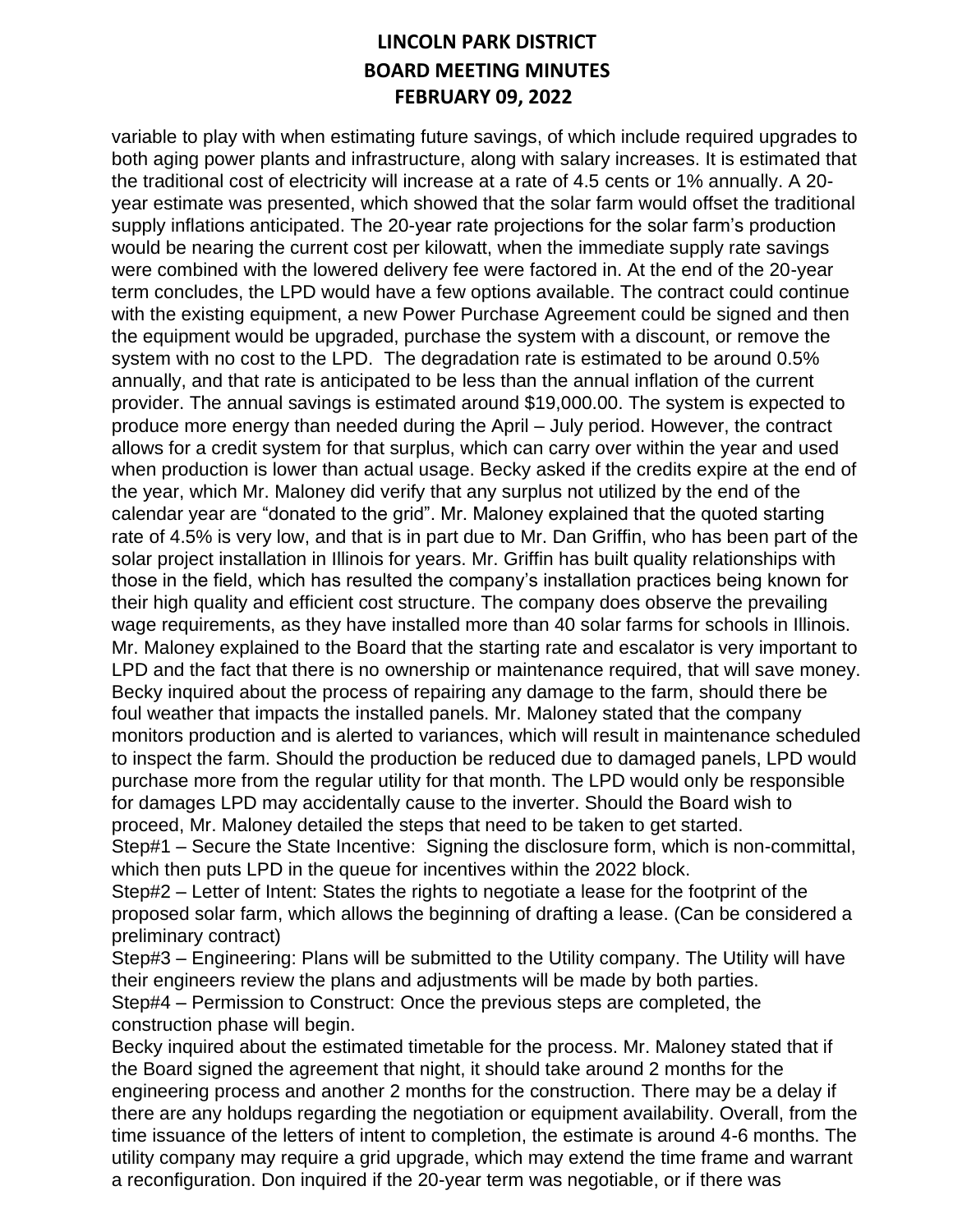variable to play with when estimating future savings, of which include required upgrades to both aging power plants and infrastructure, along with salary increases. It is estimated that the traditional cost of electricity will increase at a rate of 4.5 cents or 1% annually. A 20 year estimate was presented, which showed that the solar farm would offset the traditional supply inflations anticipated. The 20-year rate projections for the solar farm's production would be nearing the current cost per kilowatt, when the immediate supply rate savings were combined with the lowered delivery fee were factored in. At the end of the 20-year term concludes, the LPD would have a few options available. The contract could continue with the existing equipment, a new Power Purchase Agreement could be signed and then the equipment would be upgraded, purchase the system with a discount, or remove the system with no cost to the LPD. The degradation rate is estimated to be around 0.5% annually, and that rate is anticipated to be less than the annual inflation of the current provider. The annual savings is estimated around \$19,000.00. The system is expected to produce more energy than needed during the April – July period. However, the contract allows for a credit system for that surplus, which can carry over within the year and used when production is lower than actual usage. Becky asked if the credits expire at the end of the year, which Mr. Maloney did verify that any surplus not utilized by the end of the calendar year are "donated to the grid". Mr. Maloney explained that the quoted starting rate of 4.5% is very low, and that is in part due to Mr. Dan Griffin, who has been part of the solar project installation in Illinois for years. Mr. Griffin has built quality relationships with those in the field, which has resulted the company's installation practices being known for their high quality and efficient cost structure. The company does observe the prevailing wage requirements, as they have installed more than 40 solar farms for schools in Illinois. Mr. Maloney explained to the Board that the starting rate and escalator is very important to LPD and the fact that there is no ownership or maintenance required, that will save money. Becky inquired about the process of repairing any damage to the farm, should there be foul weather that impacts the installed panels. Mr. Maloney stated that the company monitors production and is alerted to variances, which will result in maintenance scheduled to inspect the farm. Should the production be reduced due to damaged panels, LPD would purchase more from the regular utility for that month. The LPD would only be responsible for damages LPD may accidentally cause to the inverter. Should the Board wish to proceed, Mr. Maloney detailed the steps that need to be taken to get started. Step#1 – Secure the State Incentive: Signing the disclosure form, which is non-committal, which then puts LPD in the queue for incentives within the 2022 block.

Step#2 – Letter of Intent: States the rights to negotiate a lease for the footprint of the proposed solar farm, which allows the beginning of drafting a lease. (Can be considered a preliminary contract)

Step#3 – Engineering: Plans will be submitted to the Utility company. The Utility will have their engineers review the plans and adjustments will be made by both parties. Step#4 – Permission to Construct: Once the previous steps are completed, the construction phase will begin.

Becky inquired about the estimated timetable for the process. Mr. Maloney stated that if the Board signed the agreement that night, it should take around 2 months for the engineering process and another 2 months for the construction. There may be a delay if there are any holdups regarding the negotiation or equipment availability. Overall, from the time issuance of the letters of intent to completion, the estimate is around 4-6 months. The utility company may require a grid upgrade, which may extend the time frame and warrant a reconfiguration. Don inquired if the 20-year term was negotiable, or if there was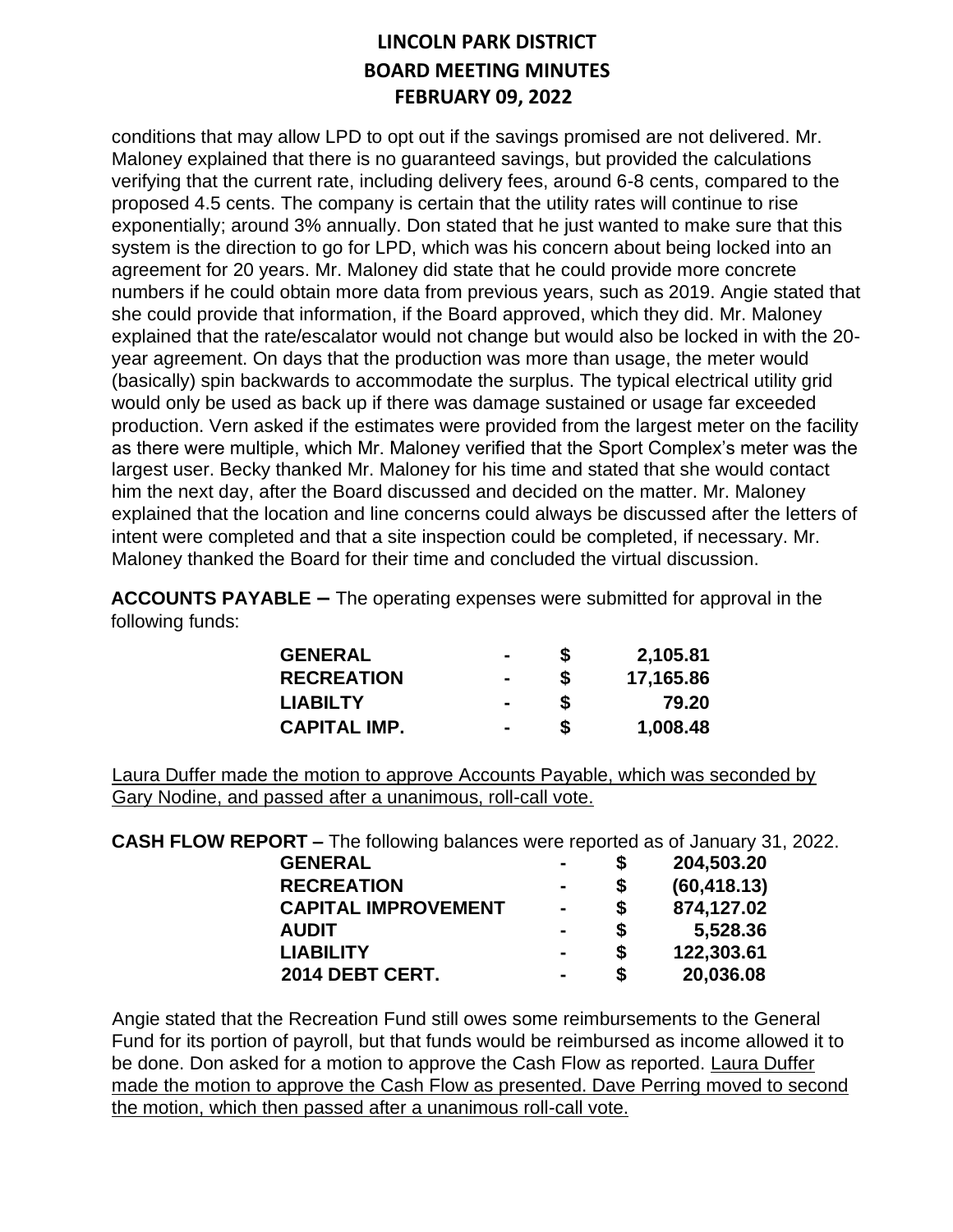conditions that may allow LPD to opt out if the savings promised are not delivered. Mr. Maloney explained that there is no guaranteed savings, but provided the calculations verifying that the current rate, including delivery fees, around 6-8 cents, compared to the proposed 4.5 cents. The company is certain that the utility rates will continue to rise exponentially; around 3% annually. Don stated that he just wanted to make sure that this system is the direction to go for LPD, which was his concern about being locked into an agreement for 20 years. Mr. Maloney did state that he could provide more concrete numbers if he could obtain more data from previous years, such as 2019. Angie stated that she could provide that information, if the Board approved, which they did. Mr. Maloney explained that the rate/escalator would not change but would also be locked in with the 20 year agreement. On days that the production was more than usage, the meter would (basically) spin backwards to accommodate the surplus. The typical electrical utility grid would only be used as back up if there was damage sustained or usage far exceeded production. Vern asked if the estimates were provided from the largest meter on the facility as there were multiple, which Mr. Maloney verified that the Sport Complex's meter was the largest user. Becky thanked Mr. Maloney for his time and stated that she would contact him the next day, after the Board discussed and decided on the matter. Mr. Maloney explained that the location and line concerns could always be discussed after the letters of intent were completed and that a site inspection could be completed, if necessary. Mr. Maloney thanked the Board for their time and concluded the virtual discussion.

**ACCOUNTS PAYABLE –** The operating expenses were submitted for approval in the following funds:

| <b>GENERAL</b>      | -              | S | 2,105.81  |
|---------------------|----------------|---|-----------|
| <b>RECREATION</b>   | $\blacksquare$ | S | 17,165.86 |
| <b>LIABILTY</b>     |                |   | 79.20     |
| <b>CAPITAL IMP.</b> | $\blacksquare$ |   | 1,008.48  |

Laura Duffer made the motion to approve Accounts Payable, which was seconded by Gary Nodine, and passed after a unanimous, roll-call vote.

**CASH FLOW REPORT –** The following balances were reported as of January 31, 2022.

| <b>GENERAL</b>             |                | S  | 204,503.20   |
|----------------------------|----------------|----|--------------|
| <b>RECREATION</b>          | $\,$           | \$ | (60, 418.13) |
| <b>CAPITAL IMPROVEMENT</b> | $\blacksquare$ | \$ | 874,127.02   |
| <b>AUDIT</b>               |                | \$ | 5,528.36     |
| <b>LIABILITY</b>           | $\,$           | S  | 122,303.61   |
| 2014 DEBT CERT.            |                | \$ | 20,036.08    |

Angie stated that the Recreation Fund still owes some reimbursements to the General Fund for its portion of payroll, but that funds would be reimbursed as income allowed it to be done. Don asked for a motion to approve the Cash Flow as reported. Laura Duffer made the motion to approve the Cash Flow as presented. Dave Perring moved to second the motion, which then passed after a unanimous roll-call vote.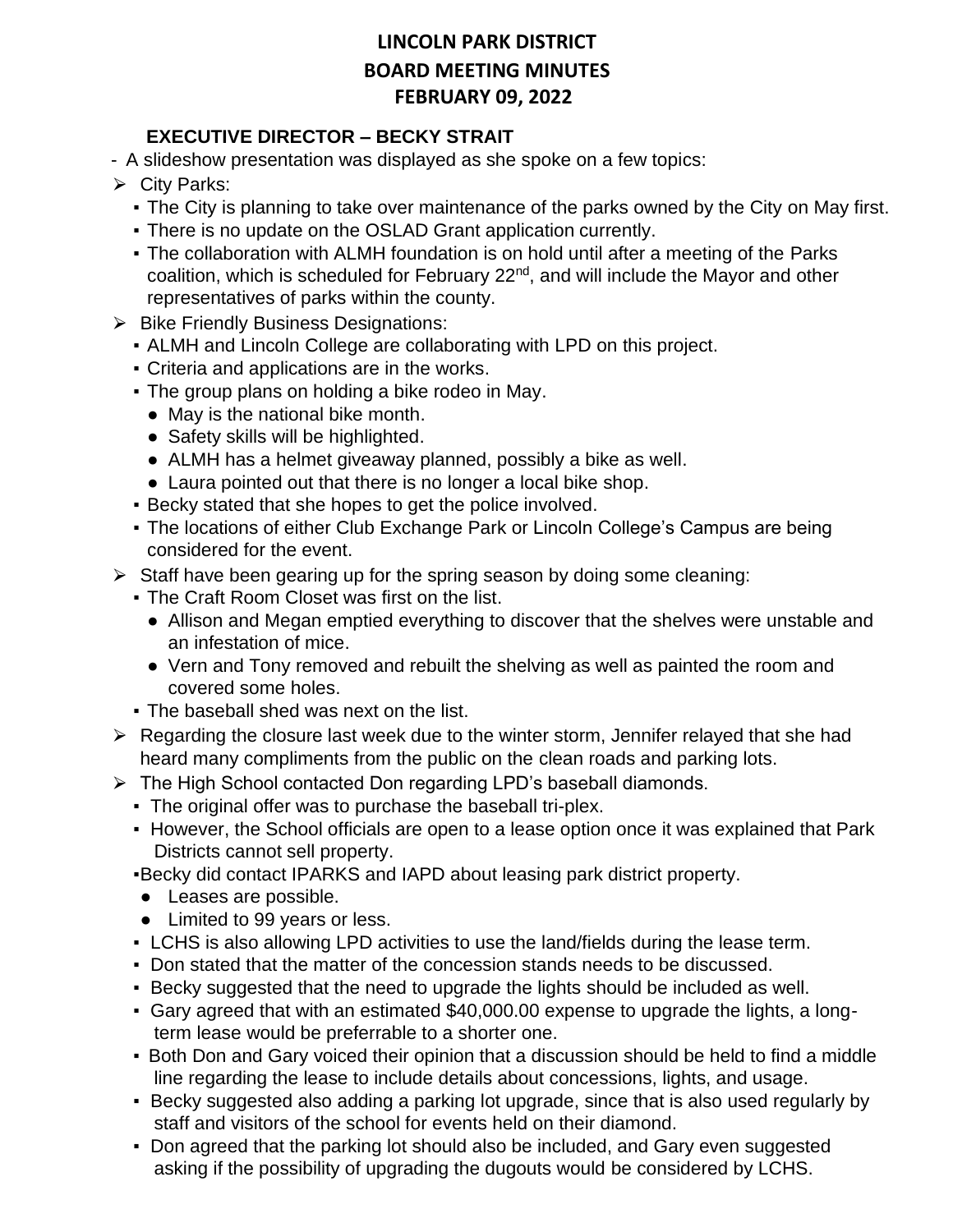### **EXECUTIVE DIRECTOR – BECKY STRAIT**

- A slideshow presentation was displayed as she spoke on a few topics:
- $\triangleright$  City Parks:
	- The City is planning to take over maintenance of the parks owned by the City on May first.
	- . There is no update on the OSLAD Grant application currently.
	- The collaboration with ALMH foundation is on hold until after a meeting of the Parks coalition, which is scheduled for February 22<sup>nd</sup>, and will include the Mayor and other representatives of parks within the county.
- **▶ Bike Friendly Business Designations:** 
	- ALMH and Lincoln College are collaborating with LPD on this project.
	- Criteria and applications are in the works.
	- The group plans on holding a bike rodeo in May.
		- May is the national bike month.
		- Safety skills will be highlighted.
		- ALMH has a helmet giveaway planned, possibly a bike as well.
	- Laura pointed out that there is no longer a local bike shop.
	- Becky stated that she hopes to get the police involved.
	- The locations of either Club Exchange Park or Lincoln College's Campus are being considered for the event.
- $\triangleright$  Staff have been gearing up for the spring season by doing some cleaning:
	- **The Craft Room Closet was first on the list.** 
		- Allison and Megan emptied everything to discover that the shelves were unstable and an infestation of mice.
		- Vern and Tony removed and rebuilt the shelving as well as painted the room and covered some holes.
	- **The baseball shed was next on the list.**
- $\triangleright$  Regarding the closure last week due to the winter storm, Jennifer relayed that she had heard many compliments from the public on the clean roads and parking lots.
- $\triangleright$  The High School contacted Don regarding LPD's baseball diamonds.
	- The original offer was to purchase the baseball tri-plex.
	- However, the School officials are open to a lease option once it was explained that Park Districts cannot sell property.
	- ▪Becky did contact IPARKS and IAPD about leasing park district property.
	- Leases are possible.
	- Limited to 99 years or less.
	- **EXALCHS** is also allowing LPD activities to use the land/fields during the lease term.
	- Don stated that the matter of the concession stands needs to be discussed.
	- Becky suggested that the need to upgrade the lights should be included as well.
	- Gary agreed that with an estimated \$40,000.00 expense to upgrade the lights, a longterm lease would be preferrable to a shorter one.
	- Both Don and Gary voiced their opinion that a discussion should be held to find a middle line regarding the lease to include details about concessions, lights, and usage.
	- Becky suggested also adding a parking lot upgrade, since that is also used regularly by staff and visitors of the school for events held on their diamond.
	- Don agreed that the parking lot should also be included, and Gary even suggested asking if the possibility of upgrading the dugouts would be considered by LCHS.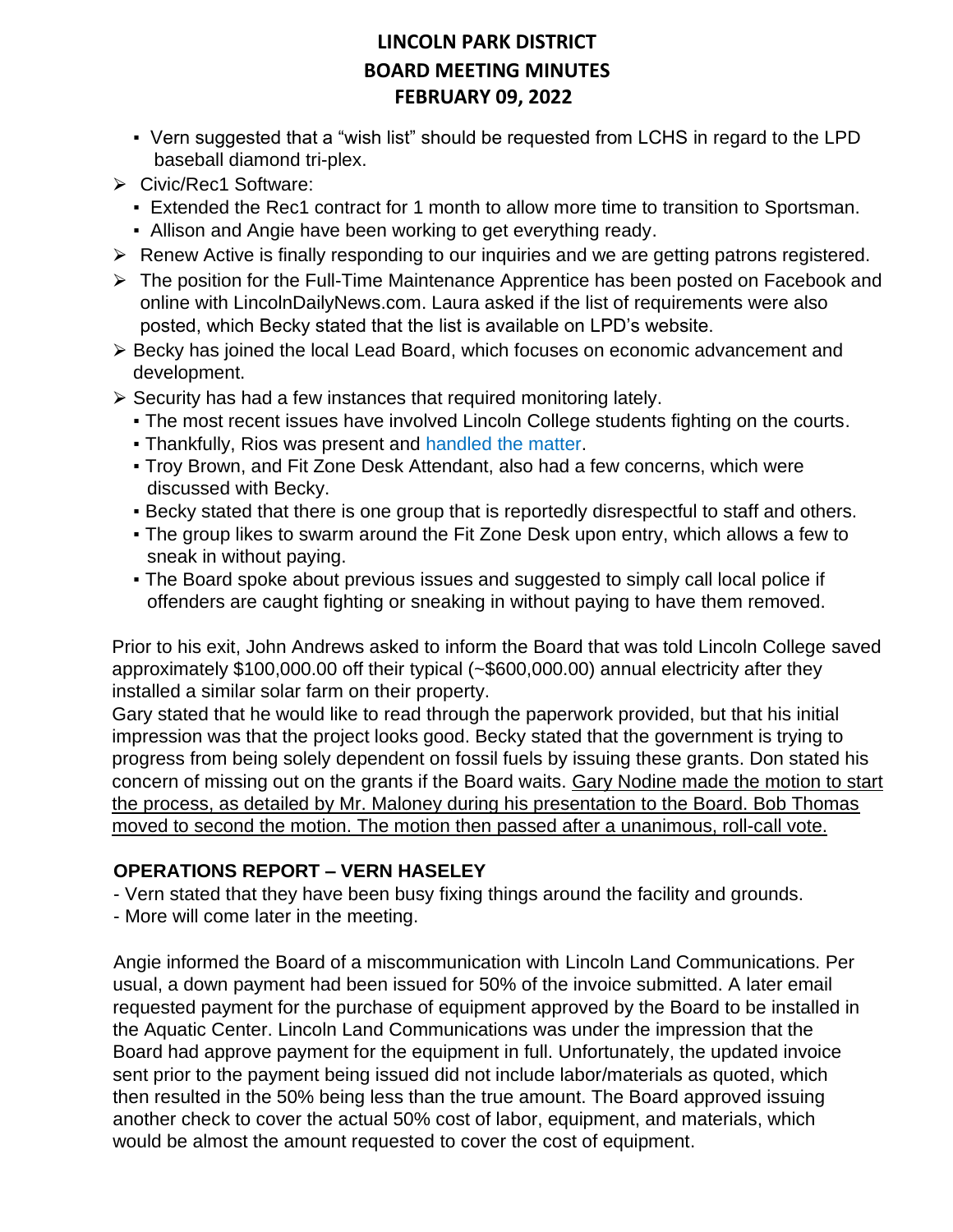- Vern suggested that a "wish list" should be requested from LCHS in regard to the LPD baseball diamond tri-plex.
- ⮚ Civic/Rec1 Software:
	- **Extended the Rec1 contract for 1 month to allow more time to transition to Sportsman.**
	- **.** Allison and Angie have been working to get everything ready.
- **►** Renew Active is finally responding to our inquiries and we are getting patrons registered.
- $\triangleright$  The position for the Full-Time Maintenance Apprentice has been posted on Facebook and online with LincolnDailyNews.com. Laura asked if the list of requirements were also posted, which Becky stated that the list is available on LPD's website.
- ⮚ Becky has joined the local Lead Board, which focuses on economic advancement and development.
- $\triangleright$  Security has had a few instances that required monitoring lately.
	- The most recent issues have involved Lincoln College students fighting on the courts.
	- **Thankfully, Rios was present and handled the matter.**
	- Troy Brown, and Fit Zone Desk Attendant, also had a few concerns, which were discussed with Becky.
	- Becky stated that there is one group that is reportedly disrespectful to staff and others.
	- The group likes to swarm around the Fit Zone Desk upon entry, which allows a few to sneak in without paying.
	- The Board spoke about previous issues and suggested to simply call local police if offenders are caught fighting or sneaking in without paying to have them removed.

Prior to his exit, John Andrews asked to inform the Board that was told Lincoln College saved approximately \$100,000.00 off their typical (~\$600,000.00) annual electricity after they installed a similar solar farm on their property.

Gary stated that he would like to read through the paperwork provided, but that his initial impression was that the project looks good. Becky stated that the government is trying to progress from being solely dependent on fossil fuels by issuing these grants. Don stated his concern of missing out on the grants if the Board waits. Gary Nodine made the motion to start the process, as detailed by Mr. Maloney during his presentation to the Board. Bob Thomas moved to second the motion. The motion then passed after a unanimous, roll-call vote.

### **OPERATIONS REPORT – VERN HASELEY**

- Vern stated that they have been busy fixing things around the facility and grounds.

- More will come later in the meeting.

Angie informed the Board of a miscommunication with Lincoln Land Communications. Per usual, a down payment had been issued for 50% of the invoice submitted. A later email requested payment for the purchase of equipment approved by the Board to be installed in the Aquatic Center. Lincoln Land Communications was under the impression that the Board had approve payment for the equipment in full. Unfortunately, the updated invoice sent prior to the payment being issued did not include labor/materials as quoted, which then resulted in the 50% being less than the true amount. The Board approved issuing another check to cover the actual 50% cost of labor, equipment, and materials, which would be almost the amount requested to cover the cost of equipment.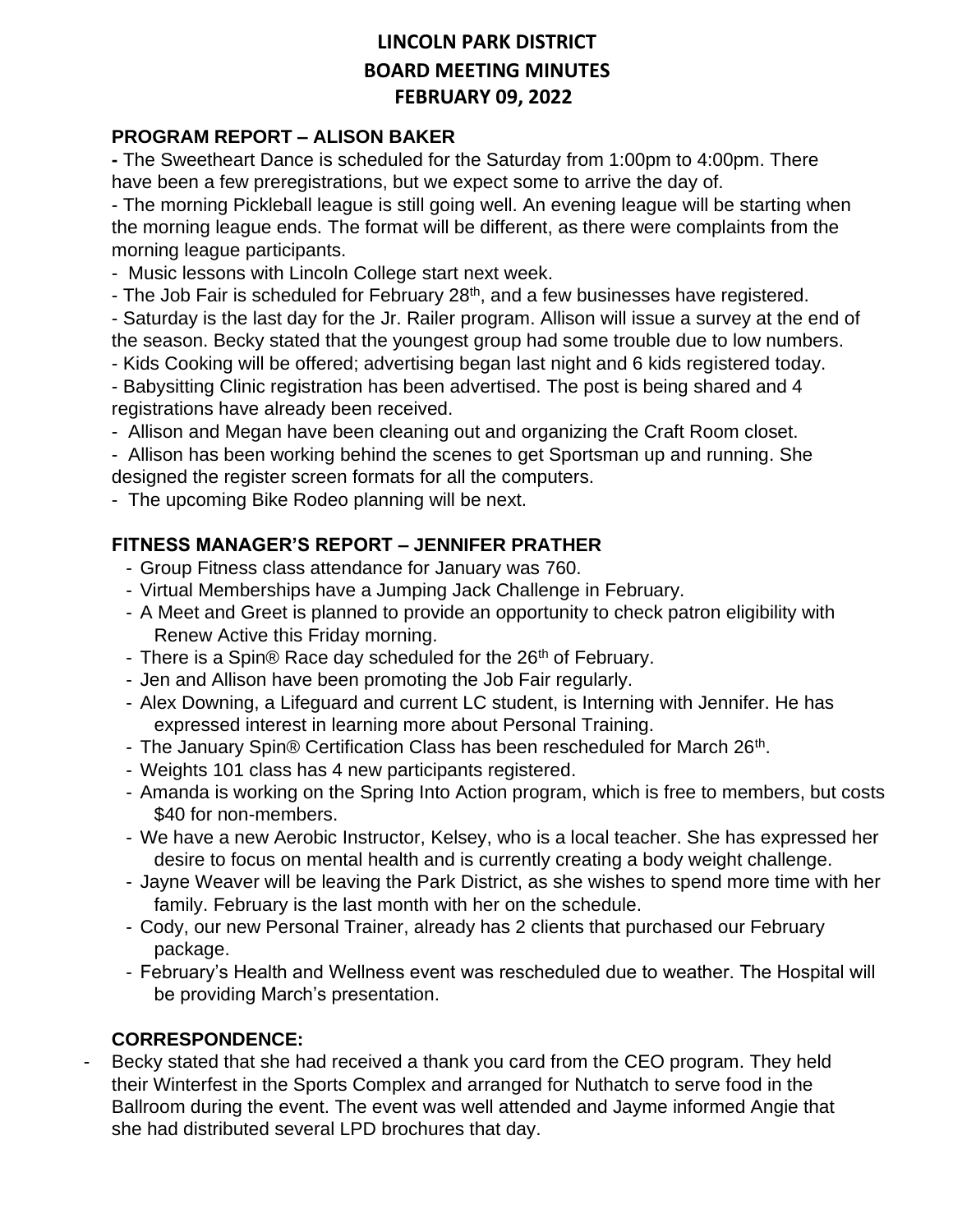#### **PROGRAM REPORT – ALISON BAKER**

**-** The Sweetheart Dance is scheduled for the Saturday from 1:00pm to 4:00pm. There have been a few preregistrations, but we expect some to arrive the day of.

- The morning Pickleball league is still going well. An evening league will be starting when the morning league ends. The format will be different, as there were complaints from the morning league participants.

- Music lessons with Lincoln College start next week.

- The Job Fair is scheduled for February 28<sup>th</sup>, and a few businesses have registered.

- Saturday is the last day for the Jr. Railer program. Allison will issue a survey at the end of the season. Becky stated that the youngest group had some trouble due to low numbers.

- Kids Cooking will be offered; advertising began last night and 6 kids registered today.

- Babysitting Clinic registration has been advertised. The post is being shared and 4 registrations have already been received.

- Allison and Megan have been cleaning out and organizing the Craft Room closet.

- Allison has been working behind the scenes to get Sportsman up and running. She designed the register screen formats for all the computers.

- The upcoming Bike Rodeo planning will be next.

### **FITNESS MANAGER'S REPORT – JENNIFER PRATHER**

- Group Fitness class attendance for January was 760.
- Virtual Memberships have a Jumping Jack Challenge in February.
- A Meet and Greet is planned to provide an opportunity to check patron eligibility with Renew Active this Friday morning.
- There is a Spin® Race day scheduled for the 26<sup>th</sup> of February.
- Jen and Allison have been promoting the Job Fair regularly.
- Alex Downing, a Lifeguard and current LC student, is Interning with Jennifer. He has expressed interest in learning more about Personal Training.
- The January Spin® Certification Class has been rescheduled for March 26<sup>th</sup>.
- Weights 101 class has 4 new participants registered.
- Amanda is working on the Spring Into Action program, which is free to members, but costs \$40 for non-members.
- We have a new Aerobic Instructor, Kelsey, who is a local teacher. She has expressed her desire to focus on mental health and is currently creating a body weight challenge.
- Jayne Weaver will be leaving the Park District, as she wishes to spend more time with her family. February is the last month with her on the schedule.
- Cody, our new Personal Trainer, already has 2 clients that purchased our February package.
- February's Health and Wellness event was rescheduled due to weather. The Hospital will be providing March's presentation.

#### **CORRESPONDENCE:**

Becky stated that she had received a thank you card from the CEO program. They held their Winterfest in the Sports Complex and arranged for Nuthatch to serve food in the Ballroom during the event. The event was well attended and Jayme informed Angie that she had distributed several LPD brochures that day.